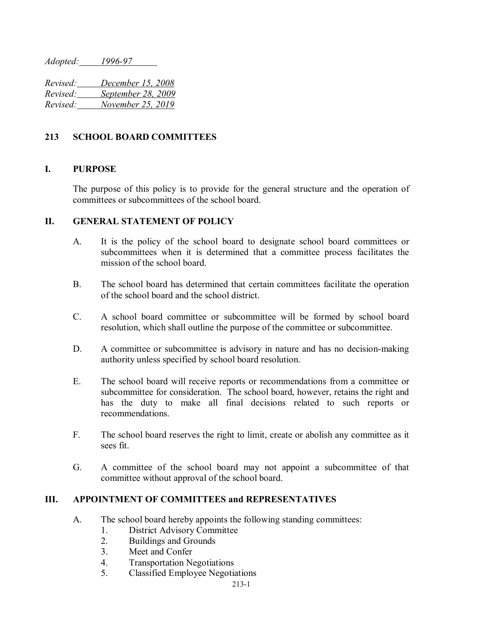*Adopted: 1996-97*

*Revised: December 15, 2008 Revised: September 28, 2009 Revised: November 25, 2019*

# **213 SCHOOL BOARD COMMITTEES**

## **I. PURPOSE**

The purpose of this policy is to provide for the general structure and the operation of committees or subcommittees of the school board.

#### **II. GENERAL STATEMENT OF POLICY**

- A. It is the policy of the school board to designate school board committees or subcommittees when it is determined that a committee process facilitates the mission of the school board.
- B. The school board has determined that certain committees facilitate the operation of the school board and the school district.
- C. A school board committee or subcommittee will be formed by school board resolution, which shall outline the purpose of the committee or subcommittee.
- D. A committee or subcommittee is advisory in nature and has no decision-making authority unless specified by school board resolution.
- E. The school board will receive reports or recommendations from a committee or subcommittee for consideration. The school board, however, retains the right and has the duty to make all final decisions related to such reports or recommendations.
- F. The school board reserves the right to limit, create or abolish any committee as it sees fit.
- G. A committee of the school board may not appoint a subcommittee of that committee without approval of the school board.

## **III. APPOINTMENT OF COMMITTEES and REPRESENTATIVES**

- A. The school board hereby appoints the following standing committees:
	- 1. District Advisory Committee
	- 2. Buildings and Grounds
	- 3. Meet and Confer
	- 4. Transportation Negotiations
	- 5. Classified Employee Negotiations